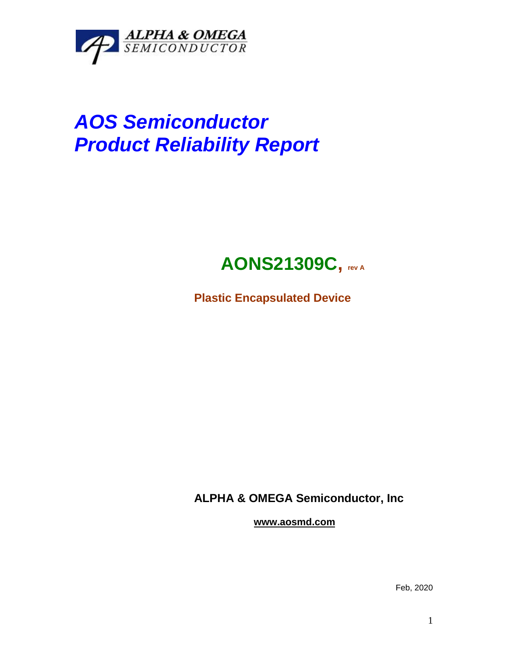

# *AOS Semiconductor Product Reliability Report*

## **AONS21309C, rev <sup>A</sup>**

**Plastic Encapsulated Device**

**ALPHA & OMEGA Semiconductor, Inc**

**www.aosmd.com**

Feb, 2020